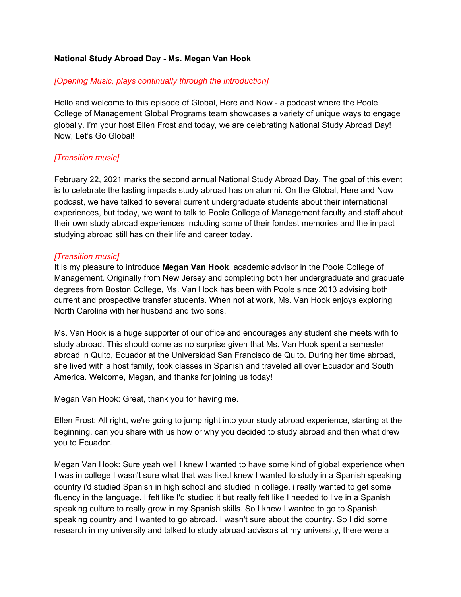### **National Study Abroad Day - Ms. Megan Van Hook**

#### *[Opening Music, plays continually through the introduction]*

Hello and welcome to this episode of Global, Here and Now - a podcast where the Poole College of Management Global Programs team showcases a variety of unique ways to engage globally. I'm your host Ellen Frost and today, we are celebrating National Study Abroad Day! Now, Let's Go Global!

### *[Transition music]*

February 22, 2021 marks the second annual National Study Abroad Day. The goal of this event is to celebrate the lasting impacts study abroad has on alumni. On the Global, Here and Now podcast, we have talked to several current undergraduate students about their international experiences, but today, we want to talk to Poole College of Management faculty and staff about their own study abroad experiences including some of their fondest memories and the impact studying abroad still has on their life and career today.

#### *[Transition music]*

It is my pleasure to introduce **Megan Van Hook**, academic advisor in the Poole College of Management. Originally from New Jersey and completing both her undergraduate and graduate degrees from Boston College, Ms. Van Hook has been with Poole since 2013 advising both current and prospective transfer students. When not at work, Ms. Van Hook enjoys exploring North Carolina with her husband and two sons.

Ms. Van Hook is a huge supporter of our office and encourages any student she meets with to study abroad. This should come as no surprise given that Ms. Van Hook spent a semester abroad in Quito, Ecuador at the Universidad San Francisco de Quito. During her time abroad, she lived with a host family, took classes in Spanish and traveled all over Ecuador and South America. Welcome, Megan, and thanks for joining us today!

Megan Van Hook: Great, thank you for having me.

Ellen Frost: All right, we're going to jump right into your study abroad experience, starting at the beginning, can you share with us how or why you decided to study abroad and then what drew you to Ecuador.

Megan Van Hook: Sure yeah well I knew I wanted to have some kind of global experience when I was in college I wasn't sure what that was like.I knew I wanted to study in a Spanish speaking country i'd studied Spanish in high school and studied in college. i really wanted to get some fluency in the language. I felt like I'd studied it but really felt like I needed to live in a Spanish speaking culture to really grow in my Spanish skills. So I knew I wanted to go to Spanish speaking country and I wanted to go abroad. I wasn't sure about the country. So I did some research in my university and talked to study abroad advisors at my university, there were a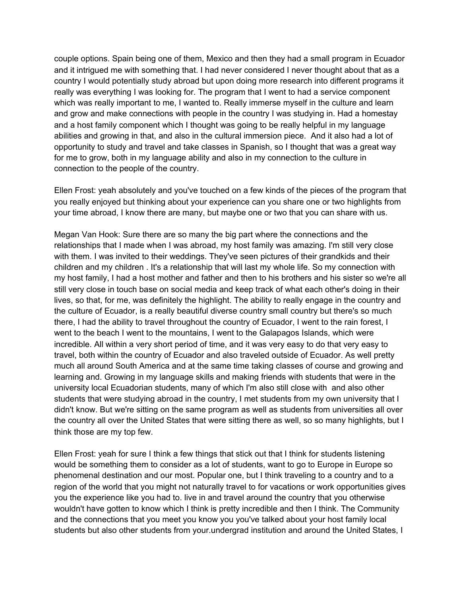couple options. Spain being one of them, Mexico and then they had a small program in Ecuador and it intrigued me with something that. I had never considered I never thought about that as a country I would potentially study abroad but upon doing more research into different programs it really was everything I was looking for. The program that I went to had a service component which was really important to me, I wanted to. Really immerse myself in the culture and learn and grow and make connections with people in the country I was studying in. Had a homestay and a host family component which I thought was going to be really helpful in my language abilities and growing in that, and also in the cultural immersion piece. And it also had a lot of opportunity to study and travel and take classes in Spanish, so I thought that was a great way for me to grow, both in my language ability and also in my connection to the culture in connection to the people of the country.

Ellen Frost: yeah absolutely and you've touched on a few kinds of the pieces of the program that you really enjoyed but thinking about your experience can you share one or two highlights from your time abroad, I know there are many, but maybe one or two that you can share with us.

Megan Van Hook: Sure there are so many the big part where the connections and the relationships that I made when I was abroad, my host family was amazing. I'm still very close with them. I was invited to their weddings. They've seen pictures of their grandkids and their children and my children . It's a relationship that will last my whole life. So my connection with my host family, I had a host mother and father and then to his brothers and his sister so we're all still very close in touch base on social media and keep track of what each other's doing in their lives, so that, for me, was definitely the highlight. The ability to really engage in the country and the culture of Ecuador, is a really beautiful diverse country small country but there's so much there, I had the ability to travel throughout the country of Ecuador, I went to the rain forest, I went to the beach I went to the mountains, I went to the Galapagos Islands, which were incredible. All within a very short period of time, and it was very easy to do that very easy to travel, both within the country of Ecuador and also traveled outside of Ecuador. As well pretty much all around South America and at the same time taking classes of course and growing and learning and. Growing in my language skills and making friends with students that were in the university local Ecuadorian students, many of which I'm also still close with and also other students that were studying abroad in the country, I met students from my own university that I didn't know. But we're sitting on the same program as well as students from universities all over the country all over the United States that were sitting there as well, so so many highlights, but I think those are my top few.

Ellen Frost: yeah for sure I think a few things that stick out that I think for students listening would be something them to consider as a lot of students, want to go to Europe in Europe so phenomenal destination and our most. Popular one, but I think traveling to a country and to a region of the world that you might not naturally travel to for vacations or work opportunities gives you the experience like you had to. live in and travel around the country that you otherwise wouldn't have gotten to know which I think is pretty incredible and then I think. The Community and the connections that you meet you know you you've talked about your host family local students but also other students from your.undergrad institution and around the United States, I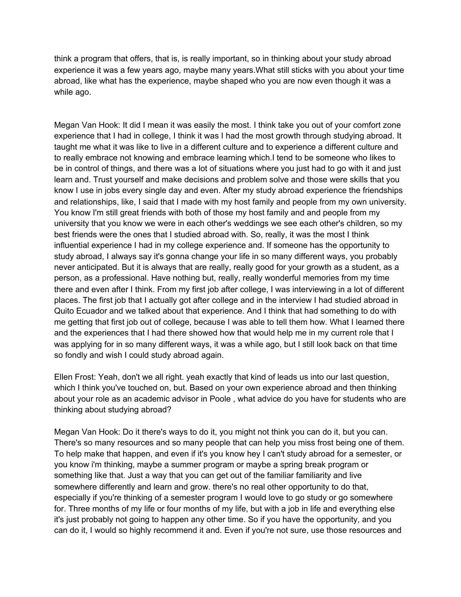think a program that offers, that is, is really important, so in thinking about your study abroad experience it was a few years ago, maybe many years.What still sticks with you about your time abroad, like what has the experience, maybe shaped who you are now even though it was a while ago.

Megan Van Hook: It did I mean it was easily the most. I think take you out of your comfort zone experience that I had in college, I think it was I had the most growth through studying abroad. It taught me what it was like to live in a different culture and to experience a different culture and to really embrace not knowing and embrace learning which.I tend to be someone who likes to be in control of things, and there was a lot of situations where you just had to go with it and just learn and. Trust yourself and make decisions and problem solve and those were skills that you know I use in jobs every single day and even. After my study abroad experience the friendships and relationships, like, I said that I made with my host family and people from my own university. You know I'm still great friends with both of those my host family and and people from my university that you know we were in each other's weddings we see each other's children, so my best friends were the ones that I studied abroad with. So, really, it was the most I think influential experience I had in my college experience and. If someone has the opportunity to study abroad, I always say it's gonna change your life in so many different ways, you probably never anticipated. But it is always that are really, really good for your growth as a student, as a person, as a professional. Have nothing but, really, really wonderful memories from my time there and even after I think. From my first job after college, I was interviewing in a lot of different places. The first job that I actually got after college and in the interview I had studied abroad in Quito Ecuador and we talked about that experience. And I think that had something to do with me getting that first job out of college, because I was able to tell them how. What I learned there and the experiences that I had there showed how that would help me in my current role that I was applying for in so many different ways, it was a while ago, but I still look back on that time so fondly and wish I could study abroad again.

Ellen Frost: Yeah, don't we all right. yeah exactly that kind of leads us into our last question, which I think you've touched on, but. Based on your own experience abroad and then thinking about your role as an academic advisor in Poole , what advice do you have for students who are thinking about studying abroad?

Megan Van Hook: Do it there's ways to do it, you might not think you can do it, but you can. There's so many resources and so many people that can help you miss frost being one of them. To help make that happen, and even if it's you know hey I can't study abroad for a semester, or you know i'm thinking, maybe a summer program or maybe a spring break program or something like that. Just a way that you can get out of the familiar familiarity and live somewhere differently and learn and grow. there's no real other opportunity to do that, especially if you're thinking of a semester program I would love to go study or go somewhere for. Three months of my life or four months of my life, but with a job in life and everything else it's just probably not going to happen any other time. So if you have the opportunity, and you can do it, I would so highly recommend it and. Even if you're not sure, use those resources and